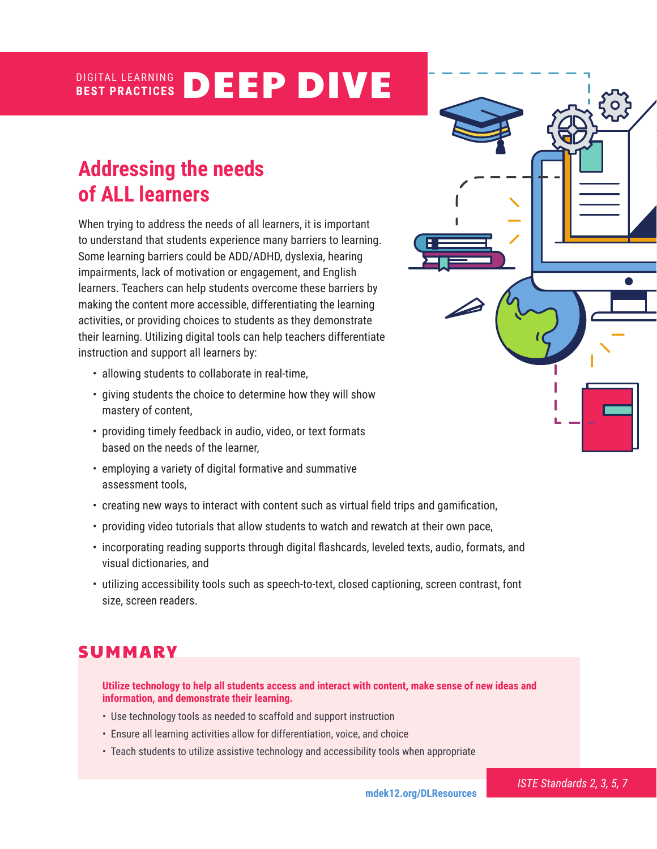#### DIGITAL LEARNING **BEST PRACTICES** DEEP DIVE

# **Addressing the needs of ALL learners**

When trying to address the needs of all learners, it is important to understand that students experience many barriers to learning. Some learning barriers could be ADD/ADHD, dyslexia, hearing impairments, lack of motivation or engagement, and English learners. Teachers can help students overcome these barriers by making the content more accessible, differentiating the learning activities, or providing choices to students as they demonstrate their learning. Utilizing digital tools can help teachers differentiate instruction and support all learners by:

- allowing students to collaborate in real-time,
- giving students the choice to determine how they will show mastery of content,
- providing timely feedback in audio, video, or text formats based on the needs of the learner,
- employing a variety of digital formative and summative assessment tools,
- creating new ways to interact with content such as virtual field trips and gamification,
- providing video tutorials that allow students to watch and rewatch at their own pace,
- incorporating reading supports through digital flashcards, leveled texts, audio, formats, and visual dictionaries, and
- utilizing accessibility tools such as speech-to-text, closed captioning, screen contrast, font size, screen readers.

# **SUMMARY**

**Utilize technology to help all students access and interact with content, make sense of new ideas and information, and demonstrate their learning.** 

- Use technology tools as needed to scaffold and support instruction
- Ensure all learning activities allow for differentiation, voice, and choice
- Teach students to utilize assistive technology and accessibility tools when appropriate



*ISTE Standards 2, 3, 5, 7*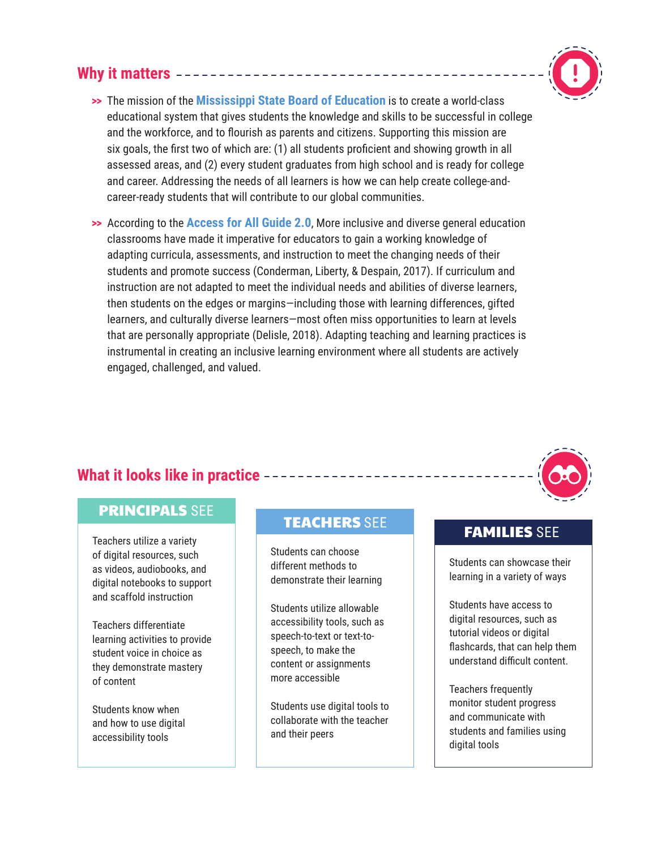## **Why it matters**



- **>>** The mission of the **[Mississippi State Board of Education](https://www.mdek12.org/MBE/StrategicPlan)** is to create a world-class educational system that gives students the knowledge and skills to be successful in college and the workforce, and to flourish as parents and citizens. Supporting this mission are six goals, the first two of which are: (1) all students proficient and showing growth in all assessed areas, and (2) every student graduates from high school and is ready for college and career. Addressing the needs of all learners is how we can help create college-andcareer-ready students that will contribute to our global communities.
- **>>** According to the **[Access for All Guide 2.0](https://www.mdek12.org/OAE/2019-Access-for-All-Guide)**, More inclusive and diverse general education classrooms have made it imperative for educators to gain a working knowledge of adapting curricula, assessments, and instruction to meet the changing needs of their students and promote success (Conderman, Liberty, & Despain, 2017). If curriculum and instruction are not adapted to meet the individual needs and abilities of diverse learners, then students on the edges or margins—including those with learning differences, gifted learners, and culturally diverse learners—most often miss opportunities to learn at levels that are personally appropriate (Delisle, 2018). Adapting teaching and learning practices is instrumental in creating an inclusive learning environment where all students are actively engaged, challenged, and valued.

## **What it looks like in practice**

## PRINCIPALS SEE

Teachers utilize a variety of digital resources, such as videos, audiobooks, and digital notebooks to support and scaffold instruction

Teachers differentiate learning activities to provide student voice in choice as they demonstrate mastery of content

Students know when and how to use digital accessibility tools

# TEACHERS SEE TEAMILIES SEE

Students can choose different methods to demonstrate their learning

Students utilize allowable accessibility tools, such as speech-to-text or text-tospeech, to make the content or assignments more accessible

Students use digital tools to collaborate with the teacher and their peers

Students can showcase their learning in a variety of ways

Students have access to digital resources, such as tutorial videos or digital flashcards, that can help them understand difficult content.

Teachers frequently monitor student progress and communicate with students and families using digital tools